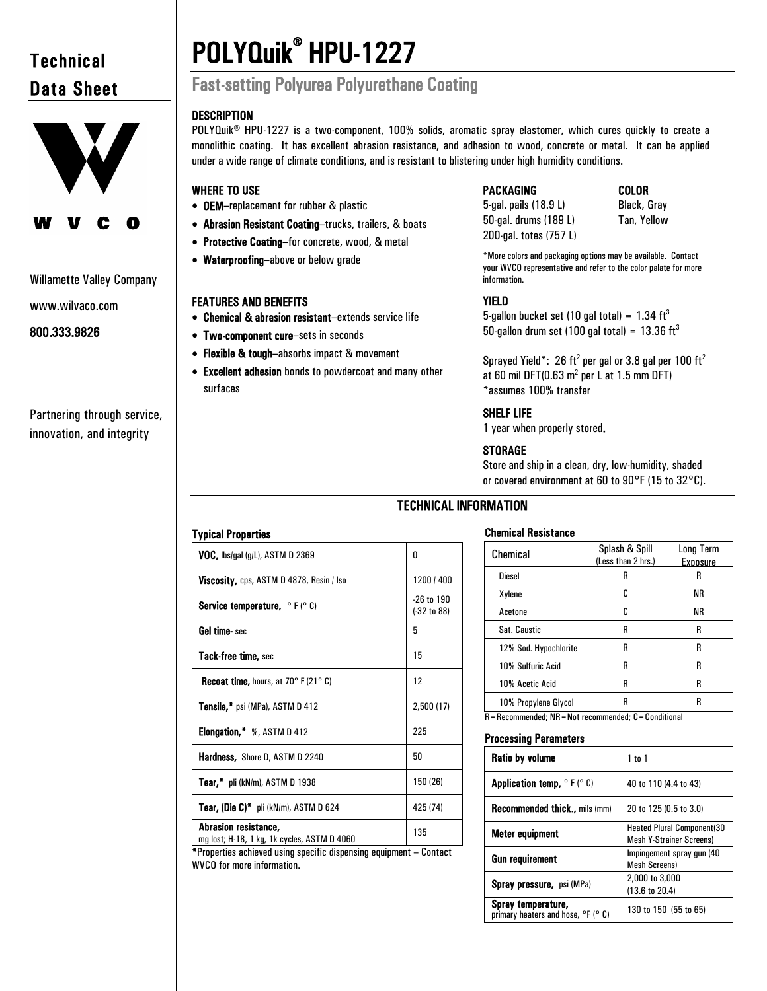# **Technical** Data Sheet



### Willamette Valley Company

www.wilvaco.com

# 800.333.9826

Partnering through service, innovation, and integrity

# POLYQuik® HPU-1227

# Fast-setting Polyurea Polyurethane Coating

# **DESCRIPTION**

POLYQuik® HPU-1227 is a two-component, 100% solids, aromatic spray elastomer, which cures quickly to create a monolithic coating. It has excellent abrasion resistance, and adhesion to wood, concrete or metal. It can be applied under a wide range of climate conditions, and is resistant to blistering under high humidity conditions.

# WHERE TO USE

- OEM–replacement for rubber & plastic
- Abrasion Resistant Coating–trucks, trailers, & boats
- Protective Coating–for concrete, wood, & metal
- Waterproofing–above or below grade

# FEATURES AND BENEFITS

- Chemical & abrasion resistant–extends service life
- Two-component cure–sets in seconds
- Flexible & tough-absorbs impact & movement
- Excellent adhesion bonds to powdercoat and many other surfaces

# PACKAGING COLOR

5-gal. pails (18.9 L) Black, Gray 50-gal. drums (189 L) Tan, Yellow 200-gal. totes (757 L)

\*More colors and packaging options may be available. Contact your WVCO representative and refer to the color palate for more information.

# YIELD

5-gallon bucket set (10 gal total) =  $1.34 \text{ ft}^3$ 50-gallon drum set (100 gal total) =  $13.36 \text{ ft}^3$ 

Sprayed Yield\*: 26 ft<sup>2</sup> per gal or 3.8 gal per 100 ft<sup>2</sup> at 60 mil DFT(0.63  $m^2$  per L at 1.5 mm DFT) \*assumes 100% transfer

# SHELF LIFE

1 year when properly stored.

# **STORAGE**

Store and ship in a clean, dry, low-humidity, shaded or covered environment at 60 to 90°F (15 to 32°C).

# TECHNICAL INFORMATION

# Chemical Resistance

| Chemical                                               | Splash & Spill<br>(Less than 2 hrs.) | Long Term<br><b>Exposure</b> |  |
|--------------------------------------------------------|--------------------------------------|------------------------------|--|
| <b>Diesel</b>                                          | R                                    | R                            |  |
| Xylene                                                 | c                                    | ΝR                           |  |
| Acetone                                                | c                                    | ΝR                           |  |
| Sat. Caustic                                           | R                                    | R                            |  |
| 12% Sod. Hypochlorite                                  | R                                    | R                            |  |
| 10% Sulfuric Acid                                      | R                                    | R                            |  |
| 10% Acetic Acid                                        | R                                    | R                            |  |
| 10% Propylene Glycol                                   | R                                    | R                            |  |
| R = Recommended; NR = Not recommended; C = Conditional |                                      |                              |  |

# Processing Parameters

| <b>Ratio by volume</b>                                               | $1$ to $1$                                                           |
|----------------------------------------------------------------------|----------------------------------------------------------------------|
| <b>Application temp, <math>\circ</math> F (<math>\circ</math> C)</b> | 40 to 110 (4.4 to 43)                                                |
| <b>Recommended thick</b> mils (mm)                                   | 20 to 125 (0.5 to 3.0)                                               |
| Meter equipment                                                      | <b>Heated Plural Component(30</b><br><b>Mesh Y-Strainer Screens)</b> |
| Gun requirement                                                      | Impingement spray gun (40<br><b>Mesh Screens)</b>                    |
| Spray pressure, psi (MPa)                                            | 2,000 to 3,000<br>(13.6 to 20.4)                                     |
| Spray temperature,<br>primary heaters and hose, °F (° C)             | 130 to 150 (55 to 65)                                                |

# Typical Properties

| <b>VOC, lbs/gal (g/L), ASTM D 2369</b>                              | 0                               |
|---------------------------------------------------------------------|---------------------------------|
| Viscosity, cps, ASTM D 4878, Resin / Iso                            | 1200 / 400                      |
| <b>Service temperature, </b> $\circ$ F ( $\circ$ C)                 | $-26$ to $190$<br>$(-32 to 88)$ |
| <b>Gel time</b> - sec                                               | 5                               |
| <b>Tack-free time, sec</b>                                          | 15                              |
| <b>Recoat time, hours, at 70° F (21° C)</b>                         | 12                              |
| Tensile,* psi (MPa), ASTM D 412                                     | 2,500(17)                       |
| <b>Elongation,</b> $\frac{1}{2}$ %, ASTM D 412                      | 225                             |
| <b>Hardness, Shore D, ASTM D 2240</b>                               | 50                              |
| Tear, $\overline{\phantom{a}}$ pli (kN/m), ASTM D 1938              | 150 (26)                        |
| Tear, (Die C)* pli (kN/m), ASTM D 624                               | 425 (74)                        |
| Abrasion resistance.<br>mg lost; H-18, 1 kg, 1k cycles, ASTM D 4060 | 135                             |

\*Properties achieved using specific dispensing equipment – Contact WVCO for more information.